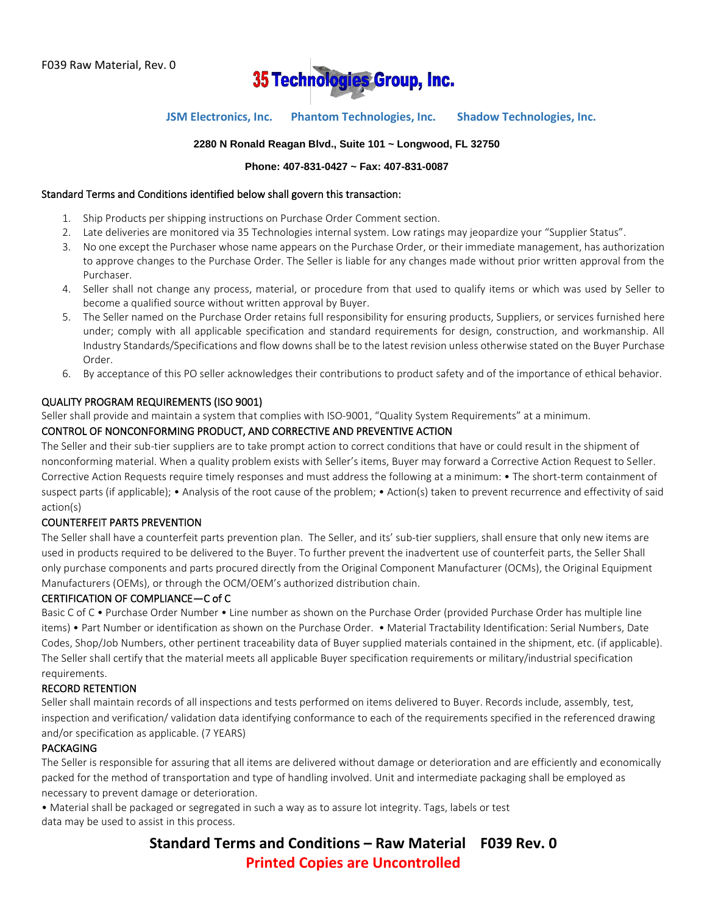

## **JSM Electronics, Inc. Phantom Technologies, Inc. Shadow Technologies, Inc.**

#### **2280 N Ronald Reagan Blvd., Suite 101 ~ Longwood, FL 32750**

#### **Phone: 407-831-0427 ~ Fax: 407-831-0087**

#### Standard Terms and Conditions identified below shall govern this transaction:

- 1. Ship Products per shipping instructions on Purchase Order Comment section.
- 2. Late deliveries are monitored via 35 Technologies internal system. Low ratings may jeopardize your "Supplier Status".
- 3. No one except the Purchaser whose name appears on the Purchase Order, or their immediate management, has authorization to approve changes to the Purchase Order. The Seller is liable for any changes made without prior written approval from the Purchaser.
- 4. Seller shall not change any process, material, or procedure from that used to qualify items or which was used by Seller to become a qualified source without written approval by Buyer.
- 5. The Seller named on the Purchase Order retains full responsibility for ensuring products, Suppliers, or services furnished here under; comply with all applicable specification and standard requirements for design, construction, and workmanship. All Industry Standards/Specifications and flow downs shall be to the latest revision unless otherwise stated on the Buyer Purchase Order.
- 6. By acceptance of this PO seller acknowledges their contributions to product safety and of the importance of ethical behavior.

#### QUALITY PROGRAM REQUIREMENTS (ISO 9001)

Seller shall provide and maintain a system that complies with ISO-9001, "Quality System Requirements" at a minimum.

#### CONTROL OF NONCONFORMING PRODUCT, AND CORRECTIVE AND PREVENTIVE ACTION

The Seller and their sub-tier suppliers are to take prompt action to correct conditions that have or could result in the shipment of nonconforming material. When a quality problem exists with Seller's items, Buyer may forward a Corrective Action Request to Seller. Corrective Action Requests require timely responses and must address the following at a minimum: • The short-term containment of suspect parts (if applicable); • Analysis of the root cause of the problem; • Action(s) taken to prevent recurrence and effectivity of said action(s)

#### COUNTERFEIT PARTS PREVENTION

The Seller shall have a counterfeit parts prevention plan. The Seller, and its' sub-tier suppliers, shall ensure that only new items are used in products required to be delivered to the Buyer. To further prevent the inadvertent use of counterfeit parts, the Seller Shall only purchase components and parts procured directly from the Original Component Manufacturer (OCMs), the Original Equipment Manufacturers (OEMs), or through the OCM/OEM's authorized distribution chain.

#### CERTIFICATION OF COMPLIANCE—C of C

Basic C of C • Purchase Order Number • Line number as shown on the Purchase Order (provided Purchase Order has multiple line items) • Part Number or identification as shown on the Purchase Order. • Material Tractability Identification: Serial Numbers, Date Codes, Shop/Job Numbers, other pertinent traceability data of Buyer supplied materials contained in the shipment, etc. (if applicable). The Seller shall certify that the material meets all applicable Buyer specification requirements or military/industrial specification requirements.

#### RECORD RETENTION

Seller shall maintain records of all inspections and tests performed on items delivered to Buyer. Records include, assembly, test, inspection and verification/ validation data identifying conformance to each of the requirements specified in the referenced drawing and/or specification as applicable. (7 YEARS)

#### PACKAGING

The Seller is responsible for assuring that all items are delivered without damage or deterioration and are efficiently and economically packed for the method of transportation and type of handling involved. Unit and intermediate packaging shall be employed as necessary to prevent damage or deterioration.

• Material shall be packaged or segregated in such a way as to assure lot integrity. Tags, labels or test data may be used to assist in this process.

> **Standard Terms and Conditions – Raw Material F039 Rev. 0 Printed Copies are Uncontrolled**